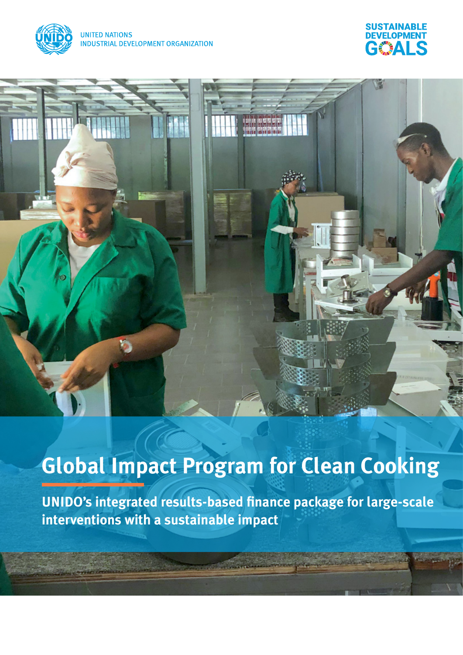



# **Global Impact Program for Clean Cooking**

**UNIDO's integrated results-based finance package for large-scale interventions with a sustainable impact**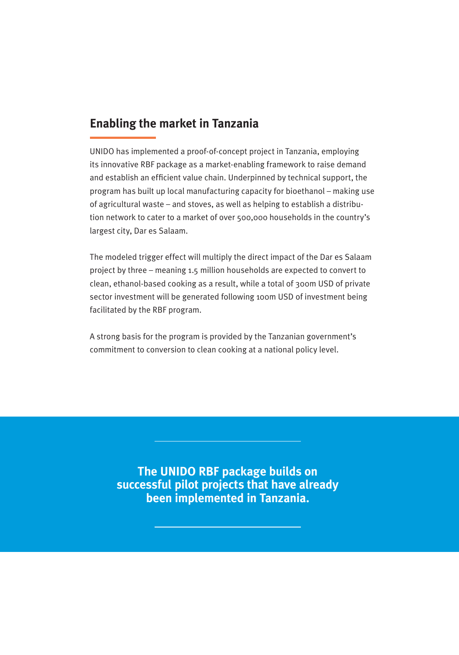# **Enabling the market in Tanzania**

UNIDO has implemented a proof-of-concept project in Tanzania, employing its innovative RBF package as a market-enabling framework to raise demand and establish an efficient value chain. Underpinned by technical support, the program has built up local manufacturing capacity for bioethanol – making use of agricultural waste – and stoves, as well as helping to establish a distribution network to cater to a market of over 500,000 households in the country's largest city, Dar es Salaam.

The modeled trigger effect will multiply the direct impact of the Dar es Salaam project by three – meaning 1.5 million households are expected to convert to clean, ethanol-based cooking as a result, while a total of 300m USD of private sector investment will be generated following 100m USD of investment being facilitated by the RBF program.

A strong basis for the program is provided by the Tanzanian government's commitment to conversion to clean cooking at a national policy level.

**The UNIDO RBF package builds on successful pilot projects that have already been implemented in Tanzania.**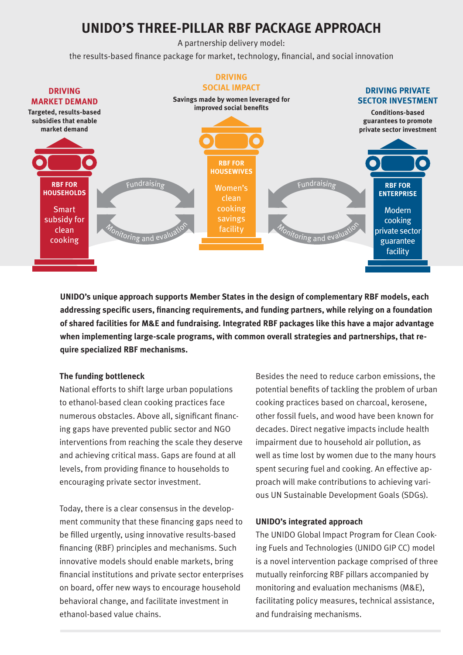# **UNIDO'S THREE-PILLAR RBF PACKAGE APPROACH**

A partnership delivery model:

the results-based finance package for market, technology, financial, and social innovation



**UNIDO's unique approach supports Member States in the design of complementary RBF models, each addressing specific users, financing requirements, and funding partners, while relying on a foundation of shared facilities for M&E and fundraising. Integrated RBF packages like this have a major advantage when implementing large-scale programs, with common overall strategies and partnerships, that require specialized RBF mechanisms.**

#### **The funding bottleneck**

National efforts to shift large urban populations to ethanol-based clean cooking practices face numerous obstacles. Above all, significant financing gaps have prevented public sector and NGO interventions from reaching the scale they deserve and achieving critical mass. Gaps are found at all levels, from providing finance to households to encouraging private sector investment.

Today, there is a clear consensus in the development community that these financing gaps need to be filled urgently, using innovative results-based financing (RBF) principles and mechanisms. Such innovative models should enable markets, bring financial institutions and private sector enterprises on board, offer new ways to encourage household behavioral change, and facilitate investment in ethanol-based value chains.

Besides the need to reduce carbon emissions, the potential benefits of tackling the problem of urban cooking practices based on charcoal, kerosene, other fossil fuels, and wood have been known for decades. Direct negative impacts include health impairment due to household air pollution, as well as time lost by women due to the many hours spent securing fuel and cooking. An effective approach will make contributions to achieving various UN Sustainable Development Goals (SDGs).

#### **UNIDO's integrated approach**

The UNIDO Global Impact Program for Clean Cooking Fuels and Technologies (UNIDO GIP CC) model is a novel intervention package comprised of three mutually reinforcing RBF pillars accompanied by monitoring and evaluation mechanisms (M&E), facilitating policy measures, technical assistance, and fundraising mechanisms.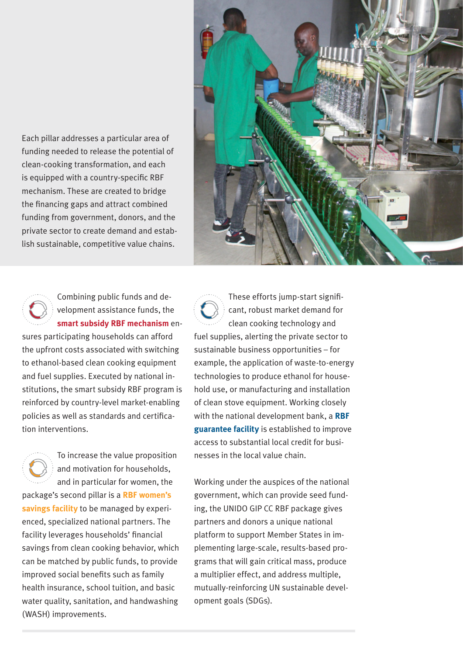Each pillar addresses a particular area of funding needed to release the potential of clean-cooking transformation, and each is equipped with a country-specific RBF mechanism. These are created to bridge the financing gaps and attract combined funding from government, donors, and the private sector to create demand and establish sustainable, competitive value chains.



### Combining public funds and development assistance funds, the **smart subsidy RBF mechanism** en-

sures participating households can afford the upfront costs associated with switching to ethanol-based clean cooking equipment and fuel supplies. Executed by national institutions, the smart subsidy RBF program is reinforced by country-level market-enabling policies as well as standards and certification interventions.

To increase the value proposition and motivation for households, and in particular for women, the package's second pillar is a **RBF women's savings facility** to be managed by experienced, specialized national partners. The facility leverages households' financial savings from clean cooking behavior, which can be matched by public funds, to provide improved social benefits such as family health insurance, school tuition, and basic water quality, sanitation, and handwashing (WASH) improvements.



Working under the auspices of the national government, which can provide seed funding, the UNIDO GIP CC RBF package gives partners and donors a unique national platform to support Member States in implementing large-scale, results-based programs that will gain critical mass, produce a multiplier effect, and address multiple, mutually-reinforcing UN sustainable development goals (SDGs).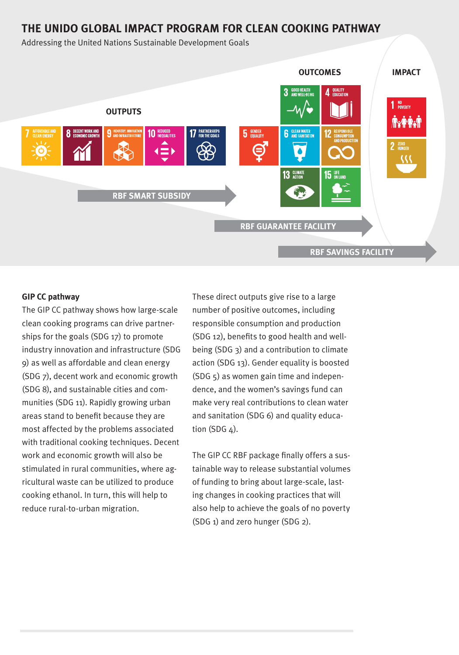## **THE UNIDO GLOBAL IMPACT PROGRAM FOR CLEAN COOKING PATHWAY**

Addressing the United Nations Sustainable Development Goals



#### **GIP CC pathway**

The GIP CC pathway shows how large-scale clean cooking programs can drive partnerships for the goals (SDG 17) to promote industry innovation and infrastructure (SDG 9) as well as affordable and clean energy (SDG 7), decent work and economic growth (SDG 8), and sustainable cities and communities (SDG 11). Rapidly growing urban areas stand to benefit because they are most affected by the problems associated with traditional cooking techniques. Decent work and economic growth will also be stimulated in rural communities, where agricultural waste can be utilized to produce cooking ethanol. In turn, this will help to reduce rural-to-urban migration.

These direct outputs give rise to a large number of positive outcomes, including responsible consumption and production (SDG 12), benefits to good health and wellbeing (SDG 3) and a contribution to climate action (SDG 13). Gender equality is boosted (SDG 5) as women gain time and independence, and the women's savings fund can make very real contributions to clean water and sanitation (SDG 6) and quality education (SDG  $4$ ).

The GIP CC RBF package finally offers a sustainable way to release substantial volumes of funding to bring about large-scale, lasting changes in cooking practices that will also help to achieve the goals of no poverty (SDG 1) and zero hunger (SDG 2).